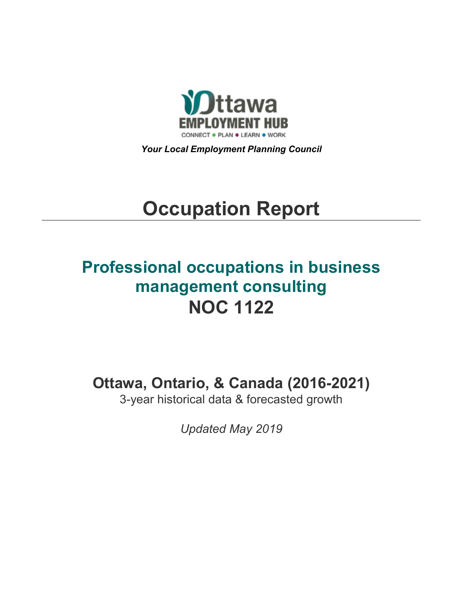

*Your Local Employment Planning Council*

# **Occupation Report**

# **Professional occupations in business management consulting NOC 1122**

**Ottawa, Ontario, & Canada (2016-2021)**

3-year historical data & forecasted growth

*Updated May 2019*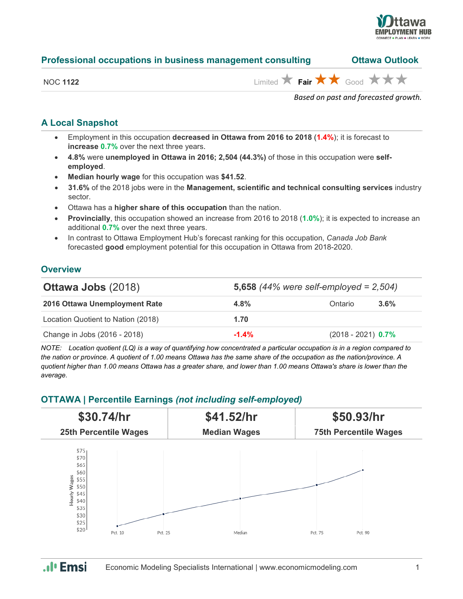

| Professional occupations in business management consulting | <b>Ottawa Outlook</b> |
|------------------------------------------------------------|-----------------------|
|------------------------------------------------------------|-----------------------|

| NOC 11 | 1122 |
|--------|------|
|--------|------|

 $\overrightarrow{H}$  **Fair**  $\overrightarrow{H}$  Good  $\overrightarrow{H}$   $\overrightarrow{H}$ 

*Based on past and forecasted growth.*

#### **A Local Snapshot**

- Employment in this occupation **decreased in Ottawa from 2016 to 2018** (**1.4%**); it is forecast to **increase 0.7%** over the next three years.
- **4.8%** were **unemployed in Ottawa in 2016; 2,504 (44.3%)** of those in this occupation were **selfemployed**.
- **Median hourly wage** for this occupation was **\$41.52**.
- **31.6%** of the 2018 jobs were in the **Management, scientific and technical consulting services** industry sector.
- Ottawa has a **higher share of this occupation** than the nation.
- **Provincially**, this occupation showed an increase from 2016 to 2018 (**1.0%**); it is expected to increase an additional **0.7%** over the next three years.
- In contrast to Ottawa Employment Hub's forecast ranking for this occupation, *Canada Job Bank*  forecasted **good** employment potential for this occupation in Ottawa from 2018-2020.

#### **Overview**

| <b>Ottawa Jobs (2018)</b>          | 5,658 $(44%$ were self-employed = 2,504) |                      |         |
|------------------------------------|------------------------------------------|----------------------|---------|
| 2016 Ottawa Unemployment Rate      | $4.8\%$                                  | Ontario              | $3.6\%$ |
| Location Quotient to Nation (2018) | 1.70                                     |                      |         |
| Change in Jobs (2016 - 2018)       | $-1.4%$                                  | $(2018 - 2021)$ 0.7% |         |

*NOTE: Location quotient (LQ) is a way of quantifying how concentrated a particular occupation is in a region compared to the nation or province. A quotient of 1.00 means Ottawa has the same share of the occupation as the nation/province. A quotient higher than 1.00 means Ottawa has a greater share, and lower than 1.00 means Ottawa's share is lower than the average.*

### **OTTAWA | Percentile Earnings** *(not including self-employed)*



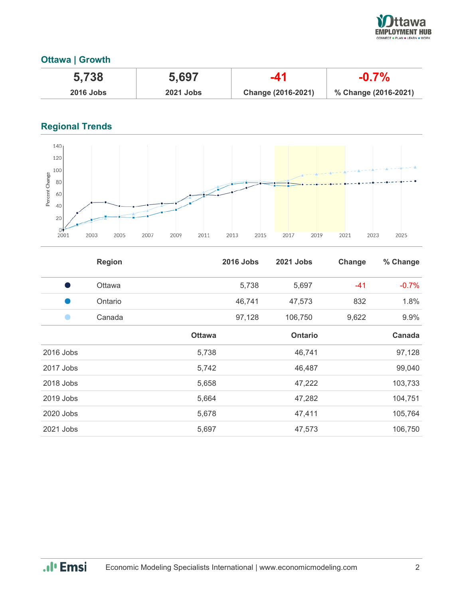

# **Ottawa | Growth**

| 5,738            | 5,697            | -41                | $-0.7%$              |
|------------------|------------------|--------------------|----------------------|
| <b>2016 Jobs</b> | <b>2021 Jobs</b> | Change (2016-2021) | % Change (2016-2021) |

# **Regional Trends**



|           | <b>Region</b> |               | <b>2016 Jobs</b> | 2021 Jobs      | Change | % Change |
|-----------|---------------|---------------|------------------|----------------|--------|----------|
|           | Ottawa        |               | 5,738            | 5,697          | -41    | $-0.7%$  |
|           | Ontario       |               | 46,741           | 47,573         | 832    | 1.8%     |
|           | Canada        |               | 97,128           | 106,750        | 9,622  | 9.9%     |
|           |               | <b>Ottawa</b> |                  | <b>Ontario</b> |        | Canada   |
| 2016 Jobs |               | 5,738         |                  | 46,741         |        | 97,128   |
| 2017 Jobs |               | 5,742         |                  | 46,487         |        | 99,040   |
| 2018 Jobs |               | 5,658         |                  | 47,222         |        | 103,733  |
| 2019 Jobs |               | 5,664         |                  | 47,282         |        | 104,751  |
| 2020 Jobs |               | 5,678         |                  | 47,411         |        | 105,764  |
| 2021 Jobs |               | 5,697         |                  | 47,573         |        | 106,750  |

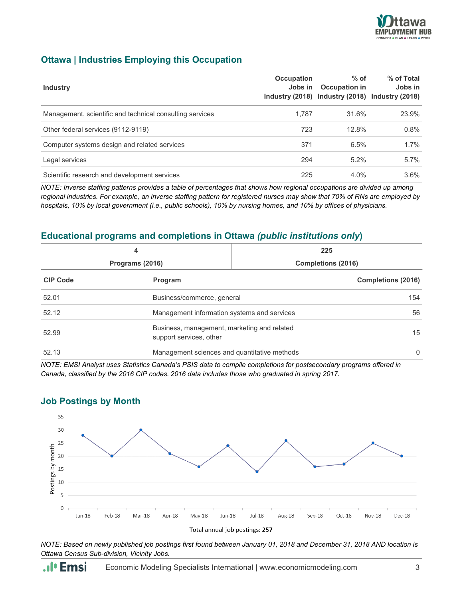

#### **Ottawa | Industries Employing this Occupation**

| <b>Industry</b>                                          | Occupation<br>Jobs in | $%$ of<br>Occupation in<br>Industry (2018) Industry (2018) Industry (2018) | % of Total<br>Jobs in |
|----------------------------------------------------------|-----------------------|----------------------------------------------------------------------------|-----------------------|
| Management, scientific and technical consulting services | 1.787                 | 31.6%                                                                      | 23.9%                 |
| Other federal services (9112-9119)                       | 723                   | 12.8%                                                                      | 0.8%                  |
| Computer systems design and related services             | 371                   | 6.5%                                                                       | 1.7%                  |
| Legal services                                           | 294                   | $5.2\%$                                                                    | $5.7\%$               |
| Scientific research and development services             | 225                   | 4.0%                                                                       | $3.6\%$               |

*NOTE: Inverse staffing patterns provides a table of percentages that shows how regional occupations are divided up among regional industries. For example, an inverse staffing pattern for registered nurses may show that 70% of RNs are employed by hospitals, 10% by local government (i.e., public schools), 10% by nursing homes, and 10% by offices of physicians.*

#### **Educational programs and completions in Ottawa** *(public institutions only***)**

|                 | 4                                                                      | 225                       |                           |
|-----------------|------------------------------------------------------------------------|---------------------------|---------------------------|
| Programs (2016) |                                                                        | <b>Completions (2016)</b> |                           |
| <b>CIP Code</b> | Program                                                                |                           | <b>Completions (2016)</b> |
| 52.01           | Business/commerce, general                                             |                           | 154                       |
| 52.12           | Management information systems and services                            |                           | 56                        |
| 52.99           | Business, management, marketing and related<br>support services, other |                           | 15                        |
| 52.13           | Management sciences and quantitative methods                           |                           | $\Omega$                  |

*NOTE: EMSI Analyst uses Statistics Canada's PSIS data to compile completions for postsecondary programs offered in Canada, classified by the 2016 CIP codes. 2016 data includes those who graduated in spring 2017.*



#### **Job Postings by Month**

*NOTE: Based on newly published job postings first found between January 01, 2018 and December 31, 2018 AND location is Ottawa Census Sub-division, Vicinity Jobs.*